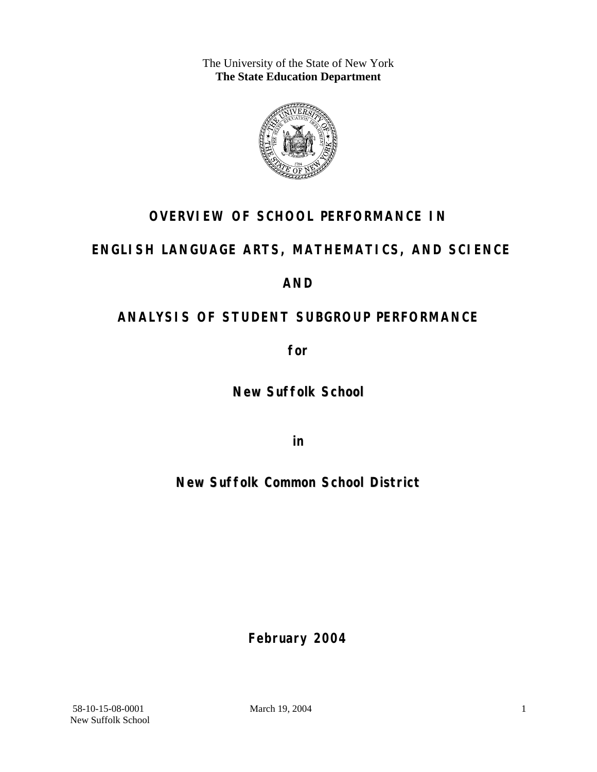The University of the State of New York **The State Education Department** 



## **OVERVIEW OF SCHOOL PERFORMANCE IN**

### **ENGLISH LANGUAGE ARTS, MATHEMATICS, AND SCIENCE**

### **AND**

# **ANALYSIS OF STUDENT SUBGROUP PERFORMANCE**

**for** 

**New Suffolk School**

**in** 

**New Suffolk Common School District**

**February 2004**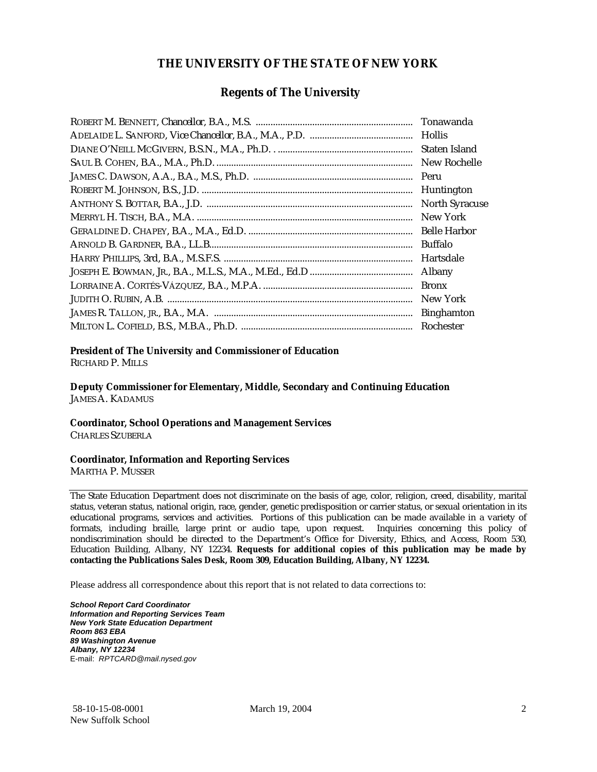#### **THE UNIVERSITY OF THE STATE OF NEW YORK**

#### **Regents of The University**

| Tonawanda             |
|-----------------------|
| <b>Hollis</b>         |
| Staten Island         |
| New Rochelle          |
| Peru                  |
| Huntington            |
| <b>North Syracuse</b> |
| New York              |
| <b>Belle Harbor</b>   |
| <b>Buffalo</b>        |
| Hartsdale             |
| Albany                |
| <b>Bronx</b>          |
| New York              |
| <b>Binghamton</b>     |
| Rochester             |

#### **President of The University and Commissioner of Education**

RICHARD P. MILLS

**Deputy Commissioner for Elementary, Middle, Secondary and Continuing Education**  JAMES A. KADAMUS

#### **Coordinator, School Operations and Management Services**

CHARLES SZUBERLA

#### **Coordinator, Information and Reporting Services**

MARTHA P. MUSSER

The State Education Department does not discriminate on the basis of age, color, religion, creed, disability, marital status, veteran status, national origin, race, gender, genetic predisposition or carrier status, or sexual orientation in its educational programs, services and activities. Portions of this publication can be made available in a variety of formats, including braille, large print or audio tape, upon request. Inquiries concerning this policy of nondiscrimination should be directed to the Department's Office for Diversity, Ethics, and Access, Room 530, Education Building, Albany, NY 12234. **Requests for additional copies of this publication may be made by contacting the Publications Sales Desk, Room 309, Education Building, Albany, NY 12234.** 

Please address all correspondence about this report that is not related to data corrections to:

*School Report Card Coordinator Information and Reporting Services Team New York State Education Department Room 863 EBA 89 Washington Avenue Albany, NY 12234*  E-mail: *RPTCARD@mail.nysed.gov*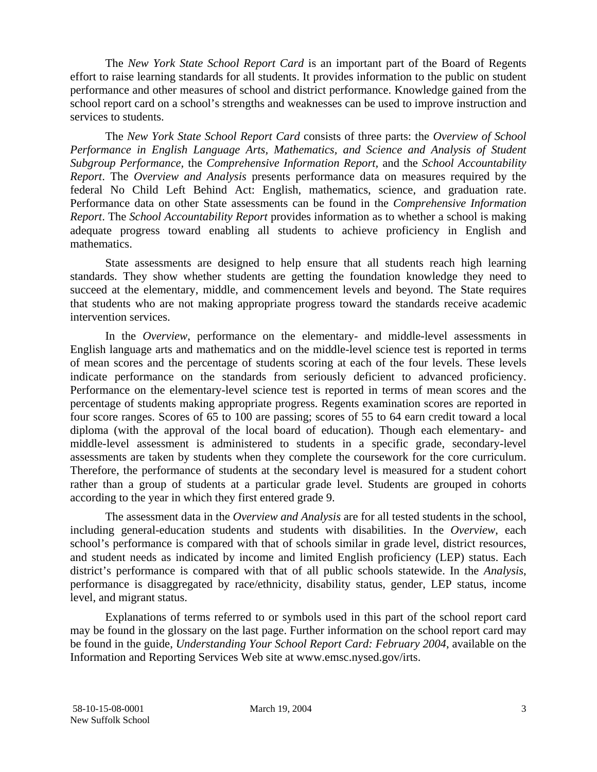The *New York State School Report Card* is an important part of the Board of Regents effort to raise learning standards for all students. It provides information to the public on student performance and other measures of school and district performance. Knowledge gained from the school report card on a school's strengths and weaknesses can be used to improve instruction and services to students.

The *New York State School Report Card* consists of three parts: the *Overview of School Performance in English Language Arts, Mathematics, and Science and Analysis of Student Subgroup Performance,* the *Comprehensive Information Report,* and the *School Accountability Report*. The *Overview and Analysis* presents performance data on measures required by the federal No Child Left Behind Act: English, mathematics, science, and graduation rate. Performance data on other State assessments can be found in the *Comprehensive Information Report*. The *School Accountability Report* provides information as to whether a school is making adequate progress toward enabling all students to achieve proficiency in English and mathematics.

State assessments are designed to help ensure that all students reach high learning standards. They show whether students are getting the foundation knowledge they need to succeed at the elementary, middle, and commencement levels and beyond. The State requires that students who are not making appropriate progress toward the standards receive academic intervention services.

In the *Overview*, performance on the elementary- and middle-level assessments in English language arts and mathematics and on the middle-level science test is reported in terms of mean scores and the percentage of students scoring at each of the four levels. These levels indicate performance on the standards from seriously deficient to advanced proficiency. Performance on the elementary-level science test is reported in terms of mean scores and the percentage of students making appropriate progress. Regents examination scores are reported in four score ranges. Scores of 65 to 100 are passing; scores of 55 to 64 earn credit toward a local diploma (with the approval of the local board of education). Though each elementary- and middle-level assessment is administered to students in a specific grade, secondary-level assessments are taken by students when they complete the coursework for the core curriculum. Therefore, the performance of students at the secondary level is measured for a student cohort rather than a group of students at a particular grade level. Students are grouped in cohorts according to the year in which they first entered grade 9.

The assessment data in the *Overview and Analysis* are for all tested students in the school, including general-education students and students with disabilities. In the *Overview*, each school's performance is compared with that of schools similar in grade level, district resources, and student needs as indicated by income and limited English proficiency (LEP) status. Each district's performance is compared with that of all public schools statewide. In the *Analysis*, performance is disaggregated by race/ethnicity, disability status, gender, LEP status, income level, and migrant status.

Explanations of terms referred to or symbols used in this part of the school report card may be found in the glossary on the last page. Further information on the school report card may be found in the guide, *Understanding Your School Report Card: February 2004*, available on the Information and Reporting Services Web site at www.emsc.nysed.gov/irts.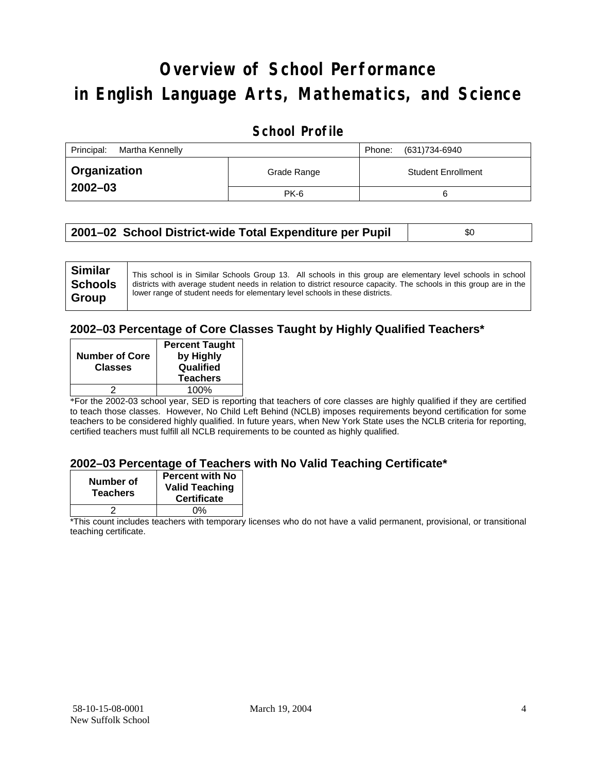# **Overview of School Performance in English Language Arts, Mathematics, and Science**

### **School Profile**

| Principal:<br>Martha Kennelly |             | Phone:<br>(631)734-6940   |
|-------------------------------|-------------|---------------------------|
| <b>Organization</b>           | Grade Range | <b>Student Enrollment</b> |
| $2002 - 03$                   | <b>PK-6</b> |                           |

|  | 2001–02 School District-wide Total Expenditure per Pupil | \$0 |
|--|----------------------------------------------------------|-----|
|--|----------------------------------------------------------|-----|

### **2002–03 Percentage of Core Classes Taught by Highly Qualified Teachers\***

| <b>Number of Core</b><br><b>Classes</b> | <b>Percent Taught</b><br>by Highly<br>Qualified |
|-----------------------------------------|-------------------------------------------------|
|                                         | <b>Teachers</b>                                 |
|                                         | 100%                                            |
|                                         |                                                 |

\*For the 2002-03 school year, SED is reporting that teachers of core classes are highly qualified if they are certified to teach those classes. However, No Child Left Behind (NCLB) imposes requirements beyond certification for some teachers to be considered highly qualified. In future years, when New York State uses the NCLB criteria for reporting, certified teachers must fulfill all NCLB requirements to be counted as highly qualified.

#### **2002–03 Percentage of Teachers with No Valid Teaching Certificate\***

| Number of<br><b>Teachers</b> | <b>Percent with No</b><br><b>Valid Teaching</b><br><b>Certificate</b> |
|------------------------------|-----------------------------------------------------------------------|
|                              | ሰ%                                                                    |

\*This count includes teachers with temporary licenses who do not have a valid permanent, provisional, or transitional teaching certificate.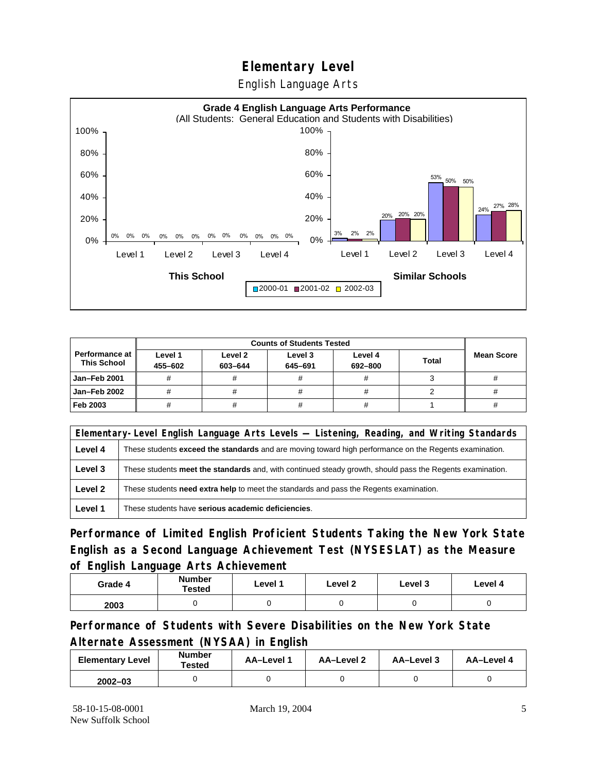English Language Arts



|                                      |                    | <b>Counts of Students Tested</b> |                    |                    |       |                   |
|--------------------------------------|--------------------|----------------------------------|--------------------|--------------------|-------|-------------------|
| Performance at<br><b>This School</b> | Level 1<br>455-602 | Level 2<br>603-644               | Level 3<br>645-691 | Level 4<br>692-800 | Total | <b>Mean Score</b> |
| Jan-Feb 2001                         |                    |                                  |                    | #                  |       |                   |
| Jan-Feb 2002                         |                    |                                  |                    | #                  |       |                   |
| Feb 2003                             | #                  |                                  |                    | #                  |       |                   |

|         | Elementary-Level English Language Arts Levels — Listening, Reading, and Writing Standards                     |  |  |  |
|---------|---------------------------------------------------------------------------------------------------------------|--|--|--|
| Level 4 | These students <b>exceed the standards</b> and are moving toward high performance on the Regents examination. |  |  |  |
| Level 3 | These students meet the standards and, with continued steady growth, should pass the Regents examination.     |  |  |  |
| Level 2 | These students <b>need extra help</b> to meet the standards and pass the Regents examination.                 |  |  |  |
| Level 1 | These students have serious academic deficiencies.                                                            |  |  |  |

**Performance of Limited English Proficient Students Taking the New York State English as a Second Language Achievement Test (NYSESLAT) as the Measure of English Language Arts Achievement**

| Grade 4 | <b>Number</b><br><b>Tested</b> | Level 1 | Level 2 | Level 3 | Level 4 |
|---------|--------------------------------|---------|---------|---------|---------|
| 2003    |                                |         |         |         |         |

**Performance of Students with Severe Disabilities on the New York State Alternate Assessment (NYSAA) in English** 

| <b>Elementary Level</b> | <b>Number</b><br>Tested | AA-Level 1 | AA-Level 2 | AA-Level 3 | AA-Level 4 |
|-------------------------|-------------------------|------------|------------|------------|------------|
| $2002 - 03$             |                         |            |            |            |            |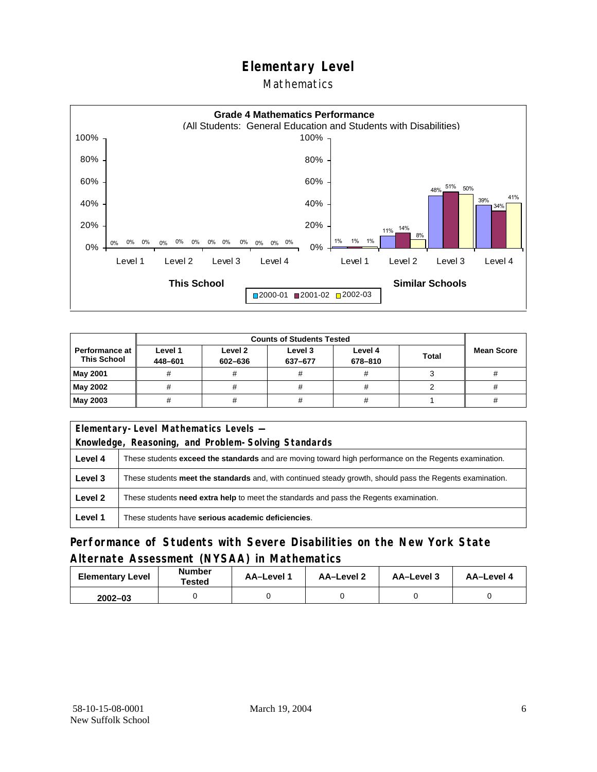### Mathematics



|                                        |                    | <b>Counts of Students Tested</b> |                    |                    |              |                   |
|----------------------------------------|--------------------|----------------------------------|--------------------|--------------------|--------------|-------------------|
| Performance at I<br><b>This School</b> | Level 1<br>448-601 | Level 2<br>602-636               | Level 3<br>637-677 | Level 4<br>678-810 | <b>Total</b> | <b>Mean Score</b> |
| May 2001                               | #                  |                                  |                    | #                  |              |                   |
| May 2002                               |                    |                                  |                    | #                  |              |                   |
| May 2003                               |                    |                                  |                    | #                  |              |                   |

|                                                     | Elementary-Level Mathematics Levels -                                                                         |  |  |
|-----------------------------------------------------|---------------------------------------------------------------------------------------------------------------|--|--|
| Knowledge, Reasoning, and Problem-Solving Standards |                                                                                                               |  |  |
| Level 4                                             | These students <b>exceed the standards</b> and are moving toward high performance on the Regents examination. |  |  |
| Level 3                                             | These students meet the standards and, with continued steady growth, should pass the Regents examination.     |  |  |
| Level 2                                             | These students <b>need extra help</b> to meet the standards and pass the Regents examination.                 |  |  |
| Level 1                                             | These students have serious academic deficiencies.                                                            |  |  |

### **Performance of Students with Severe Disabilities on the New York State Alternate Assessment (NYSAA) in Mathematics**

| <b>Elementary Level</b> | <b>Number</b><br>Tested | AA-Level 1 | AA-Level 2 | AA-Level 3 | AA-Level 4 |  |
|-------------------------|-------------------------|------------|------------|------------|------------|--|
| $2002 - 03$             |                         |            |            |            |            |  |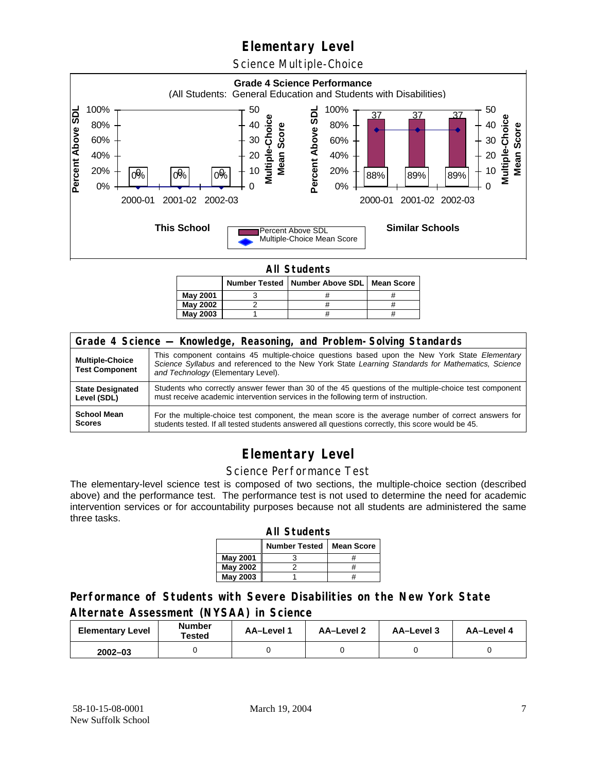Science Multiple-Choice



**All Students** 

|                 | Number Tested   Number Above SDL   Mean Score |  |
|-----------------|-----------------------------------------------|--|
| <b>May 2001</b> |                                               |  |
| <b>May 2002</b> |                                               |  |
| May 2003        |                                               |  |

| Grade 4 Science - Knowledge, Reasoning, and Problem-Solving Standards |                                                                                                                                                                                                                                          |  |  |  |  |  |
|-----------------------------------------------------------------------|------------------------------------------------------------------------------------------------------------------------------------------------------------------------------------------------------------------------------------------|--|--|--|--|--|
| <b>Multiple-Choice</b><br><b>Test Component</b>                       | This component contains 45 multiple-choice questions based upon the New York State Elementary<br>Science Syllabus and referenced to the New York State Learning Standards for Mathematics, Science<br>and Technology (Elementary Level). |  |  |  |  |  |
| <b>State Designated</b>                                               | Students who correctly answer fewer than 30 of the 45 questions of the multiple-choice test component                                                                                                                                    |  |  |  |  |  |
| Level (SDL)                                                           | must receive academic intervention services in the following term of instruction.                                                                                                                                                        |  |  |  |  |  |
| <b>School Mean</b>                                                    | For the multiple-choice test component, the mean score is the average number of correct answers for                                                                                                                                      |  |  |  |  |  |
| <b>Scores</b>                                                         | students tested. If all tested students answered all questions correctly, this score would be 45.                                                                                                                                        |  |  |  |  |  |

## **Elementary Level**

#### Science Performance Test

The elementary-level science test is composed of two sections, the multiple-choice section (described above) and the performance test. The performance test is not used to determine the need for academic intervention services or for accountability purposes because not all students are administered the same three tasks.

| <b>All Students</b>                       |  |   |  |  |  |  |  |  |  |
|-------------------------------------------|--|---|--|--|--|--|--|--|--|
| <b>Number Tested</b><br><b>Mean Score</b> |  |   |  |  |  |  |  |  |  |
| May 2001                                  |  | # |  |  |  |  |  |  |  |
| <b>May 2002</b>                           |  |   |  |  |  |  |  |  |  |
| <b>May 2003</b>                           |  |   |  |  |  |  |  |  |  |

### **Performance of Students with Severe Disabilities on the New York State Alternate Assessment (NYSAA) in Science**

| <b>Elementary Level</b> | <b>Number</b><br>Tested | AA-Level 1 | <b>AA-Level 2</b> | AA-Level 3 | AA-Level 4 |  |
|-------------------------|-------------------------|------------|-------------------|------------|------------|--|
| $2002 - 03$             |                         |            |                   |            |            |  |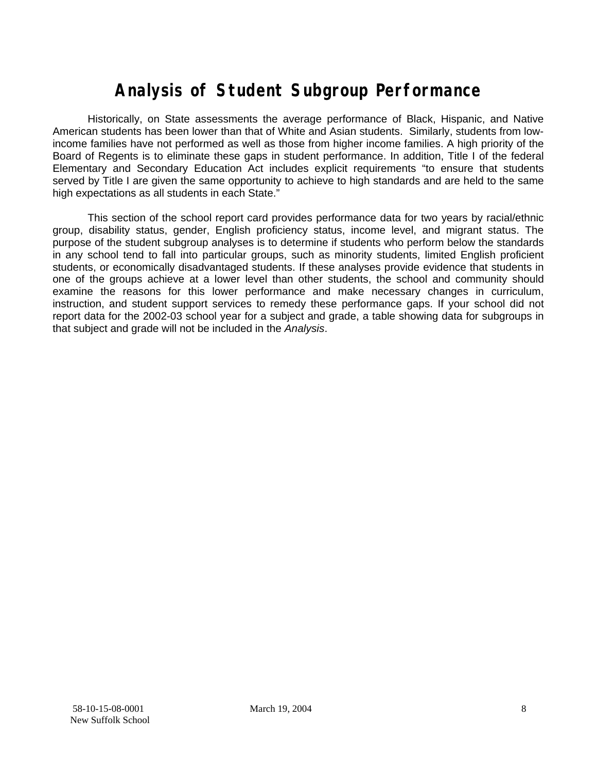# **Analysis of Student Subgroup Performance**

Historically, on State assessments the average performance of Black, Hispanic, and Native American students has been lower than that of White and Asian students. Similarly, students from lowincome families have not performed as well as those from higher income families. A high priority of the Board of Regents is to eliminate these gaps in student performance. In addition, Title I of the federal Elementary and Secondary Education Act includes explicit requirements "to ensure that students served by Title I are given the same opportunity to achieve to high standards and are held to the same high expectations as all students in each State."

This section of the school report card provides performance data for two years by racial/ethnic group, disability status, gender, English proficiency status, income level, and migrant status. The purpose of the student subgroup analyses is to determine if students who perform below the standards in any school tend to fall into particular groups, such as minority students, limited English proficient students, or economically disadvantaged students. If these analyses provide evidence that students in one of the groups achieve at a lower level than other students, the school and community should examine the reasons for this lower performance and make necessary changes in curriculum, instruction, and student support services to remedy these performance gaps. If your school did not report data for the 2002-03 school year for a subject and grade, a table showing data for subgroups in that subject and grade will not be included in the *Analysis*.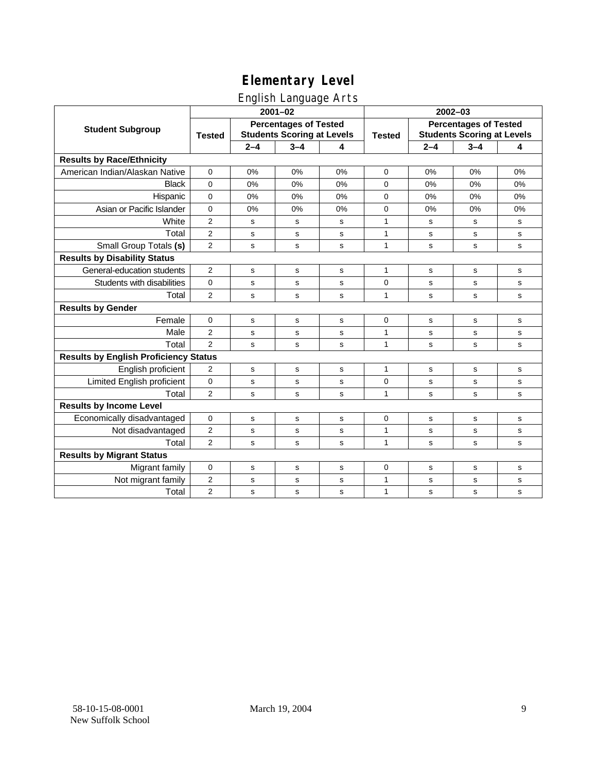### English Language Arts

|                                              | ັ<br>ັ<br>$2001 - 02$                                                              |             |             |               | 2002-03                                                           |             |             |             |
|----------------------------------------------|------------------------------------------------------------------------------------|-------------|-------------|---------------|-------------------------------------------------------------------|-------------|-------------|-------------|
| <b>Student Subgroup</b>                      | <b>Percentages of Tested</b><br><b>Students Scoring at Levels</b><br><b>Tested</b> |             |             | <b>Tested</b> | <b>Percentages of Tested</b><br><b>Students Scoring at Levels</b> |             |             |             |
|                                              |                                                                                    | $2 - 4$     | $3 - 4$     | 4             |                                                                   | $2 - 4$     | $3 - 4$     | 4           |
| <b>Results by Race/Ethnicity</b>             |                                                                                    |             |             |               |                                                                   |             |             |             |
| American Indian/Alaskan Native               | $\mathbf{0}$                                                                       | 0%          | 0%          | 0%            | $\mathbf 0$                                                       | 0%          | 0%          | 0%          |
| <b>Black</b>                                 | 0                                                                                  | 0%          | 0%          | 0%            | 0                                                                 | 0%          | 0%          | 0%          |
| Hispanic                                     | $\Omega$                                                                           | 0%          | 0%          | 0%            | $\mathbf 0$                                                       | 0%          | 0%          | 0%          |
| Asian or Pacific Islander                    | $\mathbf{0}$                                                                       | 0%          | 0%          | 0%            | $\mathbf 0$                                                       | 0%          | 0%          | $0\%$       |
| White                                        | $\overline{2}$                                                                     | s           | s           | s             | $\mathbf{1}$                                                      | s           | s           | s           |
| Total                                        | $\overline{2}$                                                                     | s           | $\mathbf s$ | s             | $\mathbf{1}$                                                      | s           | $\mathbf s$ | s           |
| Small Group Totals (s)                       | $\overline{2}$                                                                     | $\mathbf s$ | s           | s             | $\mathbf{1}$                                                      | s           | $\mathbf s$ | $\mathbf s$ |
| <b>Results by Disability Status</b>          |                                                                                    |             |             |               |                                                                   |             |             |             |
| General-education students                   | $\overline{2}$                                                                     | s           | $\mathbf s$ | s             | 1                                                                 | s           | s           | ${\tt s}$   |
| Students with disabilities                   | 0                                                                                  | s           | $\mathbf s$ | s             | 0                                                                 | s           | s           | $\mathbf s$ |
| Total                                        | $\overline{2}$                                                                     | s           | s           | s             | 1                                                                 | s           | s           | s           |
| <b>Results by Gender</b>                     |                                                                                    |             |             |               |                                                                   |             |             |             |
| Female                                       | $\Omega$                                                                           | s           | s           | s             | $\mathbf 0$                                                       | s           | s           | s           |
| Male                                         | $\overline{2}$                                                                     | s           | s           | s             | 1                                                                 | s           | s           | ${\tt s}$   |
| Total                                        | $\overline{2}$                                                                     | s           | s           | s             | $\mathbf{1}$                                                      | $\mathbf s$ | s           | $\mathbf s$ |
| <b>Results by English Proficiency Status</b> |                                                                                    |             |             |               |                                                                   |             |             |             |
| English proficient                           | $\overline{2}$                                                                     | $\mathbf s$ | s           | s             | $\mathbf{1}$                                                      | s           | s           | s           |
| Limited English proficient                   | 0                                                                                  | s           | s           | s             | 0                                                                 | $\mathbf s$ | $\mathbf s$ | $\mathbf s$ |
| Total                                        | $\overline{2}$                                                                     | s           | s           | s             | $\mathbf{1}$                                                      | s           | s           | s           |
| <b>Results by Income Level</b>               |                                                                                    |             |             |               |                                                                   |             |             |             |
| Economically disadvantaged                   | 0                                                                                  | s           | $\mathbf s$ | s             | 0                                                                 | s           | s           | ${\tt s}$   |
| Not disadvantaged                            | $\overline{2}$                                                                     | s           | s           | s             | $\mathbf{1}$                                                      | s           | s           | s           |
| Total                                        | $\overline{2}$                                                                     | s           | s           | s             | $\mathbf{1}$                                                      | s           | s           | s           |
| <b>Results by Migrant Status</b>             |                                                                                    |             |             |               |                                                                   |             |             |             |
| Migrant family                               | 0                                                                                  | s           | s           | s             | 0                                                                 | s           | s           | s           |
| Not migrant family                           | $\overline{2}$                                                                     | s           | s           | s             | $\mathbf{1}$                                                      | s           | s           | s           |
| Total                                        | $\overline{2}$                                                                     | s           | s           | s             | $\mathbf{1}$                                                      | s           | $\mathbf s$ | s           |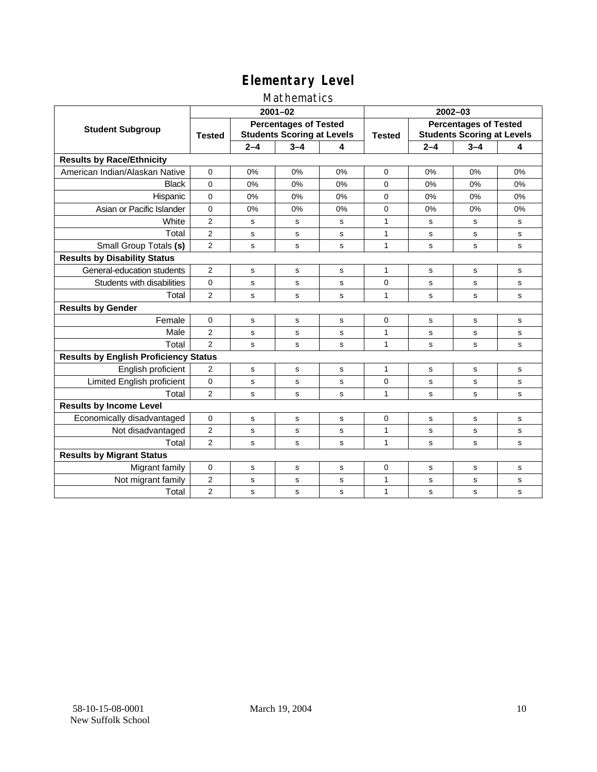### Mathematics

|                                              | $2001 - 02$                                                                        |         |             |               | $2002 - 03$                                                       |             |             |             |
|----------------------------------------------|------------------------------------------------------------------------------------|---------|-------------|---------------|-------------------------------------------------------------------|-------------|-------------|-------------|
| <b>Student Subgroup</b>                      | <b>Percentages of Tested</b><br><b>Students Scoring at Levels</b><br><b>Tested</b> |         |             | <b>Tested</b> | <b>Percentages of Tested</b><br><b>Students Scoring at Levels</b> |             |             |             |
|                                              |                                                                                    | $2 - 4$ | $3 - 4$     | 4             |                                                                   | $2 - 4$     | $3 - 4$     | 4           |
| <b>Results by Race/Ethnicity</b>             |                                                                                    |         |             |               |                                                                   |             |             |             |
| American Indian/Alaskan Native               | $\mathbf 0$                                                                        | 0%      | 0%          | 0%            | $\Omega$                                                          | 0%          | 0%          | 0%          |
| <b>Black</b>                                 | $\Omega$                                                                           | 0%      | 0%          | 0%            | $\Omega$                                                          | 0%          | 0%          | 0%          |
| Hispanic                                     | $\Omega$                                                                           | 0%      | 0%          | 0%            | $\Omega$                                                          | 0%          | 0%          | 0%          |
| Asian or Pacific Islander                    | $\Omega$                                                                           | 0%      | 0%          | 0%            | $\Omega$                                                          | 0%          | 0%          | 0%          |
| White                                        | $\overline{2}$                                                                     | s       | s           | s             | $\mathbf{1}$                                                      | s           | s           | s           |
| Total                                        | 2                                                                                  | s       | s           | S             | 1                                                                 | s           | s           | $\mathbf s$ |
| Small Group Totals (s)                       | $\overline{2}$                                                                     | s       | s           | s             | $\mathbf{1}$                                                      | s           | s           | s           |
| <b>Results by Disability Status</b>          |                                                                                    |         |             |               |                                                                   |             |             |             |
| General-education students                   | 2                                                                                  | s       | s           | s             | $\mathbf{1}$                                                      | s           | s           | s           |
| Students with disabilities                   | $\mathbf 0$                                                                        | s       | s           | s             | 0                                                                 | s           | s           | s           |
| Total                                        | $\overline{2}$                                                                     | s       | s           | s             | $\mathbf{1}$                                                      | s           | s           | s           |
| <b>Results by Gender</b>                     |                                                                                    |         |             |               |                                                                   |             |             |             |
| Female                                       | $\Omega$                                                                           | s       | s           | s             | 0                                                                 | s           | s           | s           |
| Male                                         | 2                                                                                  | s       | s           | s             | $\mathbf{1}$                                                      | s           | s           | s           |
| Total                                        | $\overline{2}$                                                                     | s       | s           | s             | $\mathbf{1}$                                                      | $\mathbf s$ | $\mathbf s$ | s           |
| <b>Results by English Proficiency Status</b> |                                                                                    |         |             |               |                                                                   |             |             |             |
| English proficient                           | $\overline{2}$                                                                     | s       | $\mathbf s$ | s             | $\mathbf{1}$                                                      | $\mathbf s$ | $\mathbf s$ | $\mathbf s$ |
| Limited English proficient                   | $\mathbf 0$                                                                        | s       | s           | S             | 0                                                                 | s           | s           | s           |
| Total                                        | $\overline{2}$                                                                     | s       | s           | s             | $\mathbf{1}$                                                      | s           | s           | s           |
| <b>Results by Income Level</b>               |                                                                                    |         |             |               |                                                                   |             |             |             |
| Economically disadvantaged                   | $\mathbf 0$                                                                        | s       | s           | s             | 0                                                                 | s           | s           | s           |
| Not disadvantaged                            | 2                                                                                  | s       | $\mathbf s$ | s             | $\mathbf{1}$                                                      | s           | s           | s           |
| Total                                        | $\overline{2}$                                                                     | s       | s           | s             | $\mathbf{1}$                                                      | s           | s           | s           |
| <b>Results by Migrant Status</b>             |                                                                                    |         |             |               |                                                                   |             |             |             |
| Migrant family                               | 0                                                                                  | s       | s           | s             | 0                                                                 | s           | s           | s           |
| Not migrant family                           | 2                                                                                  | s       | s           | S             | $\mathbf{1}$                                                      | s           | s           | s           |
| Total                                        | $\overline{2}$                                                                     | s       | s           | s             | $\mathbf{1}$                                                      | s           | s           | s           |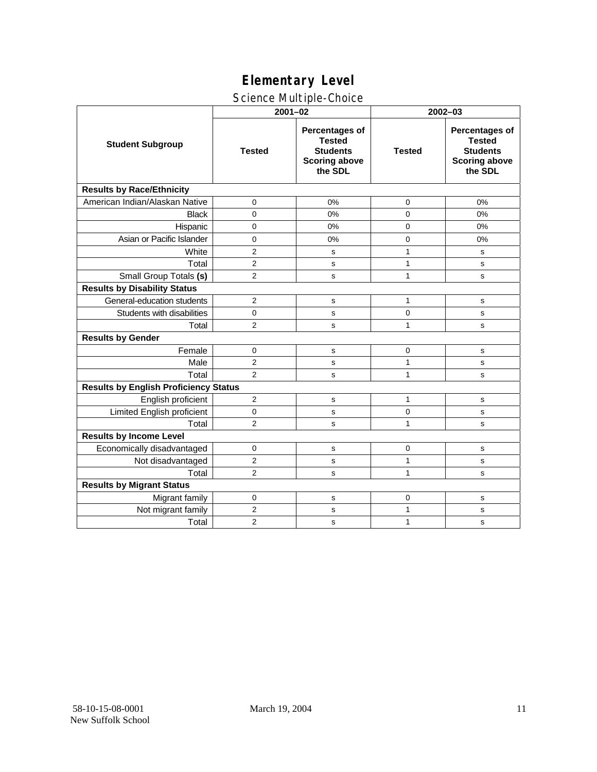### Science Multiple-Choice

|                                              | $2001 - 02$    |                                                                                              | 2002-03       |                                                                                              |  |
|----------------------------------------------|----------------|----------------------------------------------------------------------------------------------|---------------|----------------------------------------------------------------------------------------------|--|
| <b>Student Subgroup</b>                      | <b>Tested</b>  | <b>Percentages of</b><br><b>Tested</b><br><b>Students</b><br><b>Scoring above</b><br>the SDL | <b>Tested</b> | <b>Percentages of</b><br><b>Tested</b><br><b>Students</b><br><b>Scoring above</b><br>the SDL |  |
| <b>Results by Race/Ethnicity</b>             |                |                                                                                              |               |                                                                                              |  |
| American Indian/Alaskan Native               | 0              | 0%                                                                                           | 0             | 0%                                                                                           |  |
| <b>Black</b>                                 | $\mathbf 0$    | 0%                                                                                           | 0             | 0%                                                                                           |  |
| Hispanic                                     | 0              | 0%                                                                                           | $\mathbf 0$   | 0%                                                                                           |  |
| Asian or Pacific Islander                    | $\mathbf 0$    | 0%                                                                                           | 0             | 0%                                                                                           |  |
| White                                        | $\overline{2}$ | s                                                                                            | $\mathbf{1}$  | s                                                                                            |  |
| Total                                        | $\overline{2}$ | s                                                                                            | $\mathbf{1}$  | s                                                                                            |  |
| Small Group Totals (s)                       | $\overline{2}$ | s                                                                                            | $\mathbf{1}$  | s                                                                                            |  |
| <b>Results by Disability Status</b>          |                |                                                                                              |               |                                                                                              |  |
| General-education students                   | $\overline{2}$ | s                                                                                            | $\mathbf{1}$  | s                                                                                            |  |
| Students with disabilities                   | 0              | s                                                                                            | 0             | s                                                                                            |  |
| Total                                        | $\overline{2}$ | s                                                                                            | 1             | s                                                                                            |  |
| <b>Results by Gender</b>                     |                |                                                                                              |               |                                                                                              |  |
| Female                                       | 0              | s                                                                                            | 0             | $\mathbf s$                                                                                  |  |
| Male                                         | $\overline{2}$ | s                                                                                            | 1             | s                                                                                            |  |
| Total                                        | $\overline{2}$ | s                                                                                            | $\mathbf{1}$  | s                                                                                            |  |
| <b>Results by English Proficiency Status</b> |                |                                                                                              |               |                                                                                              |  |
| English proficient                           | $\overline{2}$ | s                                                                                            | $\mathbf{1}$  | s                                                                                            |  |
| Limited English proficient                   | $\Omega$       | s                                                                                            | $\mathbf 0$   | s                                                                                            |  |
| Total                                        | $\overline{2}$ | s                                                                                            | $\mathbf{1}$  | s                                                                                            |  |
| <b>Results by Income Level</b>               |                |                                                                                              |               |                                                                                              |  |
| Economically disadvantaged                   | 0              | s                                                                                            | 0             | s                                                                                            |  |
| Not disadvantaged                            | $\overline{2}$ | s                                                                                            | 1             | s                                                                                            |  |
| Total                                        | $\overline{2}$ | s                                                                                            | $\mathbf{1}$  | s                                                                                            |  |
| <b>Results by Migrant Status</b>             |                |                                                                                              |               |                                                                                              |  |
| Migrant family                               | 0              | s                                                                                            | 0             | $\mathbf s$                                                                                  |  |
| Not migrant family                           | 2              | s                                                                                            | $\mathbf{1}$  | s                                                                                            |  |
| Total                                        | $\overline{2}$ | s                                                                                            | $\mathbf{1}$  | s                                                                                            |  |